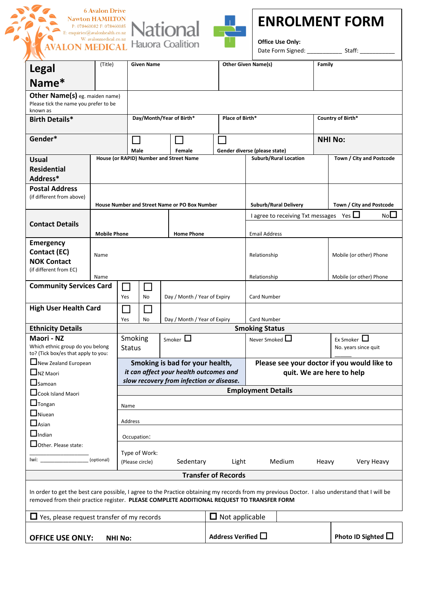







**Office Use Only:** 

Date Form Signed: example and Staff:

| <b>Legal</b>                                                                                                                                                                                                                                | (Title)             | <b>Given Name</b>                        |                                                          |                                               |        | <b>Other Given Name(s)</b> |                               | Family                       |                                             |            |                          |                         |                          |
|---------------------------------------------------------------------------------------------------------------------------------------------------------------------------------------------------------------------------------------------|---------------------|------------------------------------------|----------------------------------------------------------|-----------------------------------------------|--------|----------------------------|-------------------------------|------------------------------|---------------------------------------------|------------|--------------------------|-------------------------|--------------------------|
| Name*                                                                                                                                                                                                                                       |                     |                                          |                                                          |                                               |        |                            |                               |                              |                                             |            |                          |                         |                          |
| Other Name(s) eg. maiden name)<br>Please tick the name you prefer to be<br>known as                                                                                                                                                         |                     |                                          |                                                          |                                               |        |                            |                               |                              |                                             |            |                          |                         |                          |
| <b>Birth Details*</b>                                                                                                                                                                                                                       |                     |                                          | Day/Month/Year of Birth*                                 |                                               |        |                            | Place of Birth*               |                              | Country of Birth*                           |            |                          |                         |                          |
| Gender*                                                                                                                                                                                                                                     |                     |                                          | Male                                                     |                                               | Female |                            | Gender diverse (please state) |                              | <b>NHI No:</b>                              |            |                          |                         |                          |
| <b>Usual</b>                                                                                                                                                                                                                                |                     |                                          | House (or RAPID) Number and Street Name                  |                                               |        |                            |                               | <b>Suburb/Rural Location</b> |                                             |            |                          |                         | Town / City and Postcode |
| <b>Residential</b><br>Address*                                                                                                                                                                                                              |                     |                                          |                                                          |                                               |        |                            |                               |                              |                                             |            |                          |                         |                          |
| <b>Postal Address</b>                                                                                                                                                                                                                       |                     |                                          |                                                          |                                               |        |                            |                               |                              |                                             |            |                          |                         |                          |
| (if different from above)                                                                                                                                                                                                                   |                     |                                          |                                                          |                                               |        |                            |                               | Suburb/Rural Delivery        |                                             |            | Town / City and Postcode |                         |                          |
|                                                                                                                                                                                                                                             |                     |                                          | House Number and Street Name or PO Box Number            |                                               |        |                            |                               |                              |                                             |            | NoL<br>Yes $\Box$        |                         |                          |
| <b>Contact Details</b>                                                                                                                                                                                                                      |                     |                                          |                                                          |                                               |        |                            |                               |                              | I agree to receiving Txt messages           |            |                          |                         |                          |
|                                                                                                                                                                                                                                             | <b>Mobile Phone</b> |                                          |                                                          | <b>Home Phone</b><br><b>Email Address</b>     |        |                            |                               |                              |                                             |            |                          |                         |                          |
| <b>Emergency</b>                                                                                                                                                                                                                            |                     |                                          |                                                          |                                               |        |                            |                               |                              |                                             |            |                          |                         |                          |
| Contact (EC)                                                                                                                                                                                                                                | Name                |                                          |                                                          |                                               |        |                            |                               |                              | Relationship                                |            |                          | Mobile (or other) Phone |                          |
| <b>NOK Contact</b><br>(if different from EC)                                                                                                                                                                                                |                     |                                          |                                                          |                                               |        |                            |                               |                              |                                             |            |                          |                         |                          |
|                                                                                                                                                                                                                                             | Name                |                                          |                                                          |                                               |        |                            |                               |                              | Relationship                                |            |                          |                         | Mobile (or other) Phone  |
| <b>Community Services Card</b>                                                                                                                                                                                                              |                     |                                          | Day / Month / Year of Expiry<br>Card Number<br>Yes<br>No |                                               |        |                            |                               |                              |                                             |            |                          |                         |                          |
| <b>High User Health Card</b>                                                                                                                                                                                                                |                     | Yes                                      | Day / Month / Year of Expiry<br>Card Number<br>No        |                                               |        |                            |                               |                              |                                             |            |                          |                         |                          |
| <b>Ethnicity Details</b>                                                                                                                                                                                                                    |                     |                                          | <b>Smoking Status</b>                                    |                                               |        |                            |                               |                              |                                             |            |                          |                         |                          |
| Maori - NZ<br>Which ethnic group do you belong<br>to? (Tick box/es that apply to you:                                                                                                                                                       |                     |                                          | Smoking<br>Smoker $\square$<br><b>Status</b>             |                                               |        |                            |                               |                              | Ex Smoker $\Box$<br>Never Smoked $\Box$     |            |                          | No. years since quit    |                          |
| New Zealand European                                                                                                                                                                                                                        |                     |                                          | Smoking is bad for your health,                          |                                               |        |                            |                               |                              | Please see your doctor if you would like to |            |                          |                         |                          |
| $\Box$ NZ Maori                                                                                                                                                                                                                             |                     |                                          | it can affect your health outcomes and                   |                                               |        |                            |                               |                              | quit. We are here to help                   |            |                          |                         |                          |
| $\Box$ Samoan                                                                                                                                                                                                                               |                     | slow recovery from infection or disease. |                                                          |                                               |        |                            |                               |                              |                                             |            |                          |                         |                          |
| Cook Island Maori                                                                                                                                                                                                                           |                     |                                          | <b>Employment Details</b>                                |                                               |        |                            |                               |                              |                                             |            |                          |                         |                          |
| $\Box$ Tongan<br>Name                                                                                                                                                                                                                       |                     |                                          |                                                          |                                               |        |                            |                               |                              |                                             |            |                          |                         |                          |
| $\Box$ Niuean<br>$\Box$ Asian                                                                                                                                                                                                               | Address             |                                          |                                                          |                                               |        |                            |                               |                              |                                             |            |                          |                         |                          |
| $\Box$ Indian                                                                                                                                                                                                                               | Occupation:         |                                          |                                                          |                                               |        |                            |                               |                              |                                             |            |                          |                         |                          |
| $\Box$ Other. Please state:<br>Type of Work:<br>(optional)<br>lwi:<br>Medium                                                                                                                                                                |                     |                                          |                                                          |                                               |        |                            |                               |                              |                                             |            |                          |                         |                          |
| Sedentary<br>(Please circle)                                                                                                                                                                                                                |                     |                                          |                                                          |                                               | Light  |                            |                               | Heavy                        |                                             | Very Heavy |                          |                         |                          |
| <b>Transfer of Records</b>                                                                                                                                                                                                                  |                     |                                          |                                                          |                                               |        |                            |                               |                              |                                             |            |                          |                         |                          |
| In order to get the best care possible, I agree to the Practice obtaining my records from my previous Doctor. I also understand that I will be<br>removed from their practice register. PLEASE COMPLETE ADDITIONAL REQUEST TO TRANSFER FORM |                     |                                          |                                                          |                                               |        |                            |                               |                              |                                             |            |                          |                         |                          |
| $\Box$ Yes, please request transfer of my records                                                                                                                                                                                           |                     |                                          |                                                          | $\Box$ Not applicable                         |        |                            |                               |                              |                                             |            |                          |                         |                          |
| <b>OFFICE USE ONLY:</b><br><b>NHI No:</b>                                                                                                                                                                                                   |                     |                                          |                                                          | Address Verified □<br>Photo ID Sighted $\Box$ |        |                            |                               |                              |                                             |            |                          |                         |                          |
|                                                                                                                                                                                                                                             |                     |                                          |                                                          |                                               |        |                            |                               |                              |                                             |            |                          |                         |                          |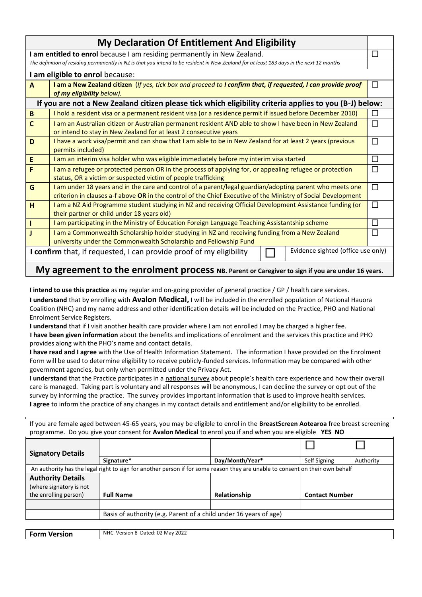| <b>My Declaration Of Entitlement And Eligibility</b>                                                                                                                                                                                |                                                                                                            |   |  |  |  |
|-------------------------------------------------------------------------------------------------------------------------------------------------------------------------------------------------------------------------------------|------------------------------------------------------------------------------------------------------------|---|--|--|--|
| I am entitled to enrol because I am residing permanently in New Zealand.                                                                                                                                                            |                                                                                                            |   |  |  |  |
| The definition of residing permanently in NZ is that you intend to be resident in New Zealand for at least 183 days in the next 12 months                                                                                           |                                                                                                            |   |  |  |  |
|                                                                                                                                                                                                                                     | I am eligible to enrol because:                                                                            |   |  |  |  |
| I am a New Zealand citizen (If yes, tick box and proceed to I confirm that, if requested, I can provide proof<br>A<br>of my eligibility below).                                                                                     |                                                                                                            |   |  |  |  |
| If you are not a New Zealand citizen please tick which eligibility criteria applies to you (B-J) below:                                                                                                                             |                                                                                                            |   |  |  |  |
| $\, {\bf B}$                                                                                                                                                                                                                        | I hold a resident visa or a permanent resident visa (or a residence permit if issued before December 2010) | П |  |  |  |
| $\mathsf{C}$<br>I am an Australian citizen or Australian permanent resident AND able to show I have been in New Zealand<br>or intend to stay in New Zealand for at least 2 consecutive years                                        |                                                                                                            |   |  |  |  |
| I have a work visa/permit and can show that I am able to be in New Zealand for at least 2 years (previous<br>D<br>permits included)                                                                                                 |                                                                                                            |   |  |  |  |
| E<br>I am an interim visa holder who was eligible immediately before my interim visa started                                                                                                                                        |                                                                                                            |   |  |  |  |
| I am a refugee or protected person OR in the process of applying for, or appealing refugee or protection<br>F<br>status, OR a victim or suspected victim of people trafficking                                                      |                                                                                                            |   |  |  |  |
| П<br>G<br>I am under 18 years and in the care and control of a parent/legal guardian/adopting parent who meets one<br>criterion in clauses a-f above OR in the control of the Chief Executive of the Ministry of Social Development |                                                                                                            |   |  |  |  |
| H<br>I am a NZ Aid Programme student studying in NZ and receiving Official Development Assistance funding (or<br>their partner or child under 18 years old)                                                                         |                                                                                                            |   |  |  |  |
| I am participating in the Ministry of Education Foreign Language Teaching Assistantship scheme                                                                                                                                      |                                                                                                            |   |  |  |  |
| I am a Commonwealth Scholarship holder studying in NZ and receiving funding from a New Zealand<br>J<br>university under the Commonwealth Scholarship and Fellowship Fund                                                            |                                                                                                            |   |  |  |  |
| Evidence sighted (office use only)<br>I confirm that, if requested, I can provide proof of my eligibility                                                                                                                           |                                                                                                            |   |  |  |  |
|                                                                                                                                                                                                                                     |                                                                                                            |   |  |  |  |

## **My agreement to the enrolment process NB. Parent or Caregiver to sign if you are under 16 years.**

**I intend to use this practice** as my regular and on-going provider of general practice / GP / health care services. **I understand** that by enrolling with **Avalon Medical,** I will be included in the enrolled population of National Hauora Coalition (NHC) and my name address and other identification details will be included on the Practice, PHO and National Enrolment Service Registers.

**I understand** that if I visit another health care provider where I am not enrolled I may be charged a higher fee. **I have been given information** about the benefits and implications of enrolment and the services this practice and PHO provides along with the PHO's name and contact details.

**I have read and I agree** with the Use of Health Information Statement. The information I have provided on the Enrolment Form will be used to determine eligibility to receive publicly-funded services. Information may be compared with other government agencies, but only when permitted under the Privacy Act.

**I understand** that the Practice participates in a national survey about people's health care experience and how their overall care is managed. Taking part is voluntary and all responses will be anonymous, I can decline the survey or opt out of the survey by informing the practice. The survey provides important information that is used to improve health services. **I agree** to inform the practice of any changes in my contact details and entitlement and/or eligibility to be enrolled.

| If you are female aged between 45-65 years, you may be eligible to enrol in the BreastScreen Aotearoa free breast screening<br>programme. Do you give your consent for Avalon Medical to enrol you if and when you are eligible YES NO |                                                                   |                 |                       |           |  |  |  |
|----------------------------------------------------------------------------------------------------------------------------------------------------------------------------------------------------------------------------------------|-------------------------------------------------------------------|-----------------|-----------------------|-----------|--|--|--|
| <b>Signatory Details</b>                                                                                                                                                                                                               |                                                                   |                 |                       |           |  |  |  |
|                                                                                                                                                                                                                                        | Signature*                                                        | Day/Month/Year* | Self Signing          | Authority |  |  |  |
| An authority has the legal right to sign for another person if for some reason they are unable to consent on their own behalf                                                                                                          |                                                                   |                 |                       |           |  |  |  |
| <b>Authority Details</b>                                                                                                                                                                                                               |                                                                   |                 |                       |           |  |  |  |
| (where signatory is not                                                                                                                                                                                                                |                                                                   |                 |                       |           |  |  |  |
| the enrolling person)                                                                                                                                                                                                                  | <b>Full Name</b>                                                  | Relationship    | <b>Contact Number</b> |           |  |  |  |
|                                                                                                                                                                                                                                        |                                                                   |                 |                       |           |  |  |  |
|                                                                                                                                                                                                                                        | Basis of authority (e.g. Parent of a child under 16 years of age) |                 |                       |           |  |  |  |
|                                                                                                                                                                                                                                        |                                                                   |                 |                       |           |  |  |  |

| <b>Form</b> \<br><b>Version</b> | 2022<br><b>NHC</b><br>Dated: 02 May<br>Version 8 |
|---------------------------------|--------------------------------------------------|
|                                 |                                                  |